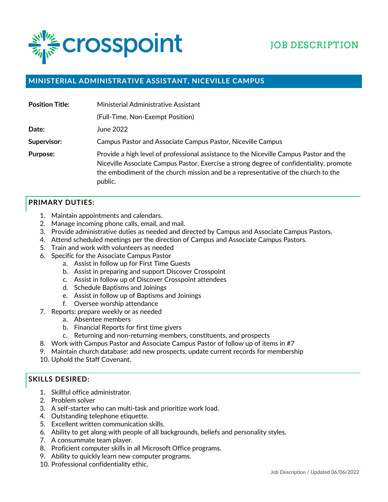

# JOB DESCRIPTION

### **MINISTERIAL ADMINISTRATIVE ASSISTANT, NICEVILLE CAMPUS**

| <b>Position Title:</b> | Ministerial Administrative Assistant                                                                                                                                                                                                                                              |
|------------------------|-----------------------------------------------------------------------------------------------------------------------------------------------------------------------------------------------------------------------------------------------------------------------------------|
|                        | (Full-Time, Non-Exempt Position)                                                                                                                                                                                                                                                  |
| Date:                  | June 2022                                                                                                                                                                                                                                                                         |
| Supervisor:            | <b>Campus Pastor and Associate Campus Pastor, Niceville Campus</b>                                                                                                                                                                                                                |
| <b>Purpose:</b>        | Provide a high level of professional assistance to the Niceville Campus Pastor and the<br>Niceville Associate Campus Pastor. Exercise a strong degree of confidentiality, promote<br>the embodiment of the church mission and be a representative of the church to the<br>public. |

#### **PRIMARY DUTIES:**

- 1. Maintain appointments and calendars.
- 2. Manage incoming phone calls, email, and mail.
- 3. Provide administrative duties as needed and directed by Campus and Associate Campus Pastors.
- 4. Attend scheduled meetings per the direction of Campus and Associate Campus Pastors.
- 5. Train and work with volunteers as needed
- 6. Specific for the Associate Campus Pastor
	- a. Assist in follow up for First Time Guests
	- b. Assist in preparing and support Discover Crosspoint
	- c. Assist in follow up of Discover Crosspoint attendees
	- d. Schedule Baptisms and Joinings
	- e. Assist in follow up of Baptisms and Joinings
	- f. Oversee worship attendance
- 7. Reports: prepare weekly or as needed
	- a. Absentee members
	- b. Financial Reports for first time givers
	- c. Returning and non-returning members, constituents, and prospects
- 8. Work with Campus Pastor and Associate Campus Pastor of follow up of items in #7
- 9. Maintain church database: add new prospects, update current records for membership
- 10. Uphold the Staff Covenant.

#### **SKILLS DESIRED:**

- 1. Skillful office administrator.
- 2. Problem solver
- 3. A self-starter who can multi-task and prioritize work load.
- 4. Outstanding telephone etiquette.
- 5. Excellent written communication skills.
- 6. Ability to get along with people of all backgrounds, beliefs and personality styles.
- 7. A consummate team player.
- 8. Proficient computer skills in all Microsoft Office programs.
- 9. Ability to quickly learn new computer programs.
- 10. Professional confidentiality ethic.